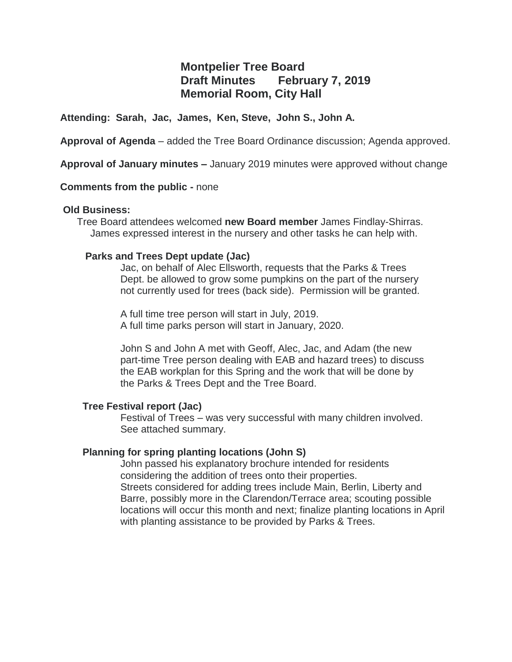# **Montpelier Tree Board Draft Minutes February 7, 2019 Memorial Room, City Hall**

## **Attending: Sarah, Jac, James, Ken, Steve, John S., John A.**

**Approval of Agenda** – added the Tree Board Ordinance discussion; Agenda approved.

**Approval of January minutes –** January 2019 minutes were approved without change

#### **Comments from the public -** none

#### **Old Business:**

Tree Board attendees welcomed **new Board member** James Findlay-Shirras. James expressed interest in the nursery and other tasks he can help with.

## **Parks and Trees Dept update (Jac)**

Jac, on behalf of Alec Ellsworth, requests that the Parks & Trees Dept. be allowed to grow some pumpkins on the part of the nursery not currently used for trees (back side). Permission will be granted.

A full time tree person will start in July, 2019. A full time parks person will start in January, 2020.

John S and John A met with Geoff, Alec, Jac, and Adam (the new part-time Tree person dealing with EAB and hazard trees) to discuss the EAB workplan for this Spring and the work that will be done by the Parks & Trees Dept and the Tree Board.

# **Tree Festival report (Jac)**

Festival of Trees – was very successful with many children involved. See attached summary.

# **Planning for spring planting locations (John S)**

John passed his explanatory brochure intended for residents considering the addition of trees onto their properties. Streets considered for adding trees include Main, Berlin, Liberty and Barre, possibly more in the Clarendon/Terrace area; scouting possible locations will occur this month and next; finalize planting locations in April with planting assistance to be provided by Parks & Trees.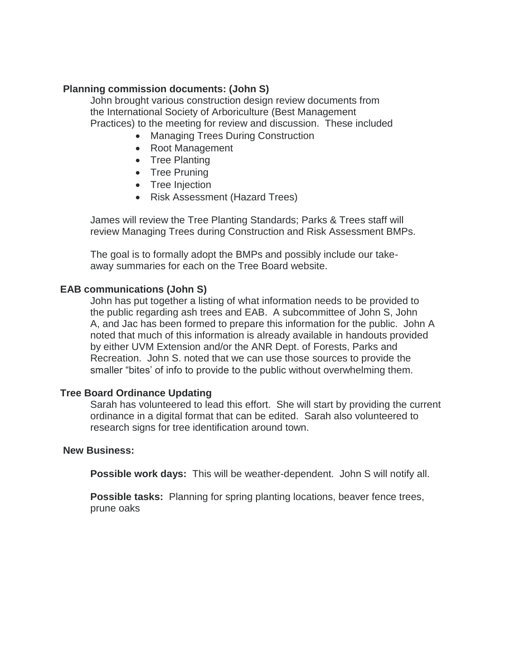# **Planning commission documents: (John S)**

John brought various construction design review documents from the International Society of Arboriculture (Best Management Practices) to the meeting for review and discussion. These included

- Managing Trees During Construction
- Root Management
- Tree Planting
- Tree Pruning
- Tree Injection
- Risk Assessment (Hazard Trees)

James will review the Tree Planting Standards; Parks & Trees staff will review Managing Trees during Construction and Risk Assessment BMPs.

The goal is to formally adopt the BMPs and possibly include our takeaway summaries for each on the Tree Board website.

## **EAB communications (John S)**

John has put together a listing of what information needs to be provided to the public regarding ash trees and EAB. A subcommittee of John S, John A, and Jac has been formed to prepare this information for the public. John A noted that much of this information is already available in handouts provided by either UVM Extension and/or the ANR Dept. of Forests, Parks and Recreation. John S. noted that we can use those sources to provide the smaller "bites' of info to provide to the public without overwhelming them.

#### **Tree Board Ordinance Updating**

Sarah has volunteered to lead this effort. She will start by providing the current ordinance in a digital format that can be edited. Sarah also volunteered to research signs for tree identification around town.

#### **New Business:**

**Possible work days:** This will be weather-dependent. John S will notify all.

**Possible tasks:** Planning for spring planting locations, beaver fence trees, prune oaks